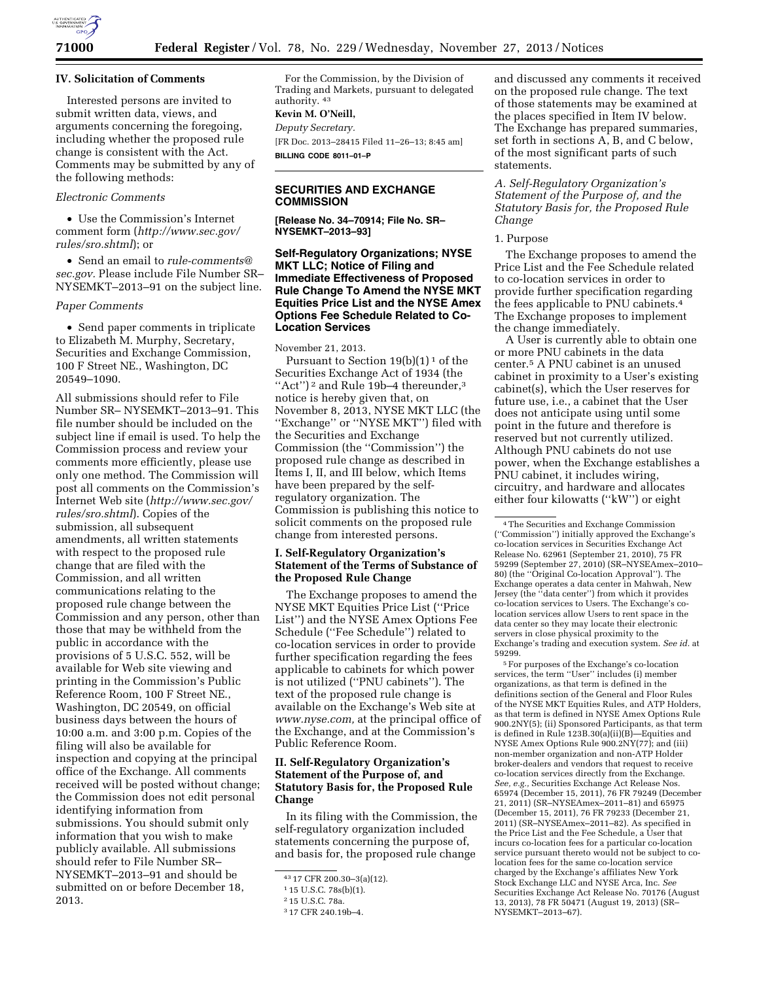

### **IV. Solicitation of Comments**

Interested persons are invited to submit written data, views, and arguments concerning the foregoing, including whether the proposed rule change is consistent with the Act. Comments may be submitted by any of the following methods:

## *Electronic Comments*

• Use the Commission's Internet comment form (*[http://www.sec.gov/](http://www.sec.gov/rules/sro.shtml) [rules/sro.shtml](http://www.sec.gov/rules/sro.shtml)*); or

• Send an email to *[rule-comments@](mailto:rule-comments@sec.gov) [sec.gov.](mailto:rule-comments@sec.gov)* Please include File Number SR– NYSEMKT–2013–91 on the subject line.

#### *Paper Comments*

• Send paper comments in triplicate to Elizabeth M. Murphy, Secretary, Securities and Exchange Commission, 100 F Street NE., Washington, DC 20549–1090.

All submissions should refer to File Number SR– NYSEMKT–2013–91. This file number should be included on the subject line if email is used. To help the Commission process and review your comments more efficiently, please use only one method. The Commission will post all comments on the Commission's Internet Web site (*[http://www.sec.gov/](http://www.sec.gov/rules/sro.shtml) [rules/sro.shtml](http://www.sec.gov/rules/sro.shtml)*). Copies of the submission, all subsequent amendments, all written statements with respect to the proposed rule change that are filed with the Commission, and all written communications relating to the proposed rule change between the Commission and any person, other than those that may be withheld from the public in accordance with the provisions of 5 U.S.C. 552, will be available for Web site viewing and printing in the Commission's Public Reference Room, 100 F Street NE., Washington, DC 20549, on official business days between the hours of 10:00 a.m. and 3:00 p.m. Copies of the filing will also be available for inspection and copying at the principal office of the Exchange. All comments received will be posted without change; the Commission does not edit personal identifying information from submissions. You should submit only information that you wish to make publicly available. All submissions should refer to File Number SR– NYSEMKT–2013–91 and should be submitted on or before December 18, 2013.

For the Commission, by the Division of Trading and Markets, pursuant to delegated authority. 43

#### **Kevin M. O'Neill,**

*Deputy Secretary.*  [FR Doc. 2013–28415 Filed 11–26–13; 8:45 am] **BILLING CODE 8011–01–P** 

# **SECURITIES AND EXCHANGE COMMISSION**

**[Release No. 34–70914; File No. SR– NYSEMKT–2013–93]** 

## **Self-Regulatory Organizations; NYSE MKT LLC; Notice of Filing and Immediate Effectiveness of Proposed Rule Change To Amend the NYSE MKT Equities Price List and the NYSE Amex Options Fee Schedule Related to Co-Location Services**

#### November 21, 2013.

Pursuant to Section  $19(b)(1)^1$  of the Securities Exchange Act of 1934 (the "Act")<sup>2</sup> and Rule 19b-4 thereunder,<sup>3</sup> notice is hereby given that, on November 8, 2013, NYSE MKT LLC (the ''Exchange'' or ''NYSE MKT'') filed with the Securities and Exchange Commission (the ''Commission'') the proposed rule change as described in Items I, II, and III below, which Items have been prepared by the selfregulatory organization. The Commission is publishing this notice to solicit comments on the proposed rule change from interested persons.

## **I. Self-Regulatory Organization's Statement of the Terms of Substance of the Proposed Rule Change**

The Exchange proposes to amend the NYSE MKT Equities Price List (''Price List'') and the NYSE Amex Options Fee Schedule (''Fee Schedule'') related to co-location services in order to provide further specification regarding the fees applicable to cabinets for which power is not utilized (''PNU cabinets''). The text of the proposed rule change is available on the Exchange's Web site at *[www.nyse.com,](http://www.nyse.com)* at the principal office of the Exchange, and at the Commission's Public Reference Room.

# **II. Self-Regulatory Organization's Statement of the Purpose of, and Statutory Basis for, the Proposed Rule Change**

In its filing with the Commission, the self-regulatory organization included statements concerning the purpose of, and basis for, the proposed rule change

and discussed any comments it received on the proposed rule change. The text of those statements may be examined at the places specified in Item IV below. The Exchange has prepared summaries, set forth in sections A, B, and C below, of the most significant parts of such statements.

*A. Self-Regulatory Organization's Statement of the Purpose of, and the Statutory Basis for, the Proposed Rule Change* 

## 1. Purpose

The Exchange proposes to amend the Price List and the Fee Schedule related to co-location services in order to provide further specification regarding the fees applicable to PNU cabinets.4 The Exchange proposes to implement the change immediately.

A User is currently able to obtain one or more PNU cabinets in the data center.5 A PNU cabinet is an unused cabinet in proximity to a User's existing cabinet(s), which the User reserves for future use, i.e., a cabinet that the User does not anticipate using until some point in the future and therefore is reserved but not currently utilized. Although PNU cabinets do not use power, when the Exchange establishes a PNU cabinet, it includes wiring, circuitry, and hardware and allocates either four kilowatts (''kW'') or eight

5For purposes of the Exchange's co-location services, the term "User" includes (i) member organizations, as that term is defined in the definitions section of the General and Floor Rules of the NYSE MKT Equities Rules, and ATP Holders, as that term is defined in NYSE Amex Options Rule 900.2NY(5); (ii) Sponsored Participants, as that term is defined in Rule 123B.30(a)(ii)(B)—Equities and NYSE Amex Options Rule 900.2NY(77); and (iii) non-member organization and non-ATP Holder broker-dealers and vendors that request to receive co-location services directly from the Exchange. *See, e.g.,* Securities Exchange Act Release Nos. 65974 (December 15, 2011), 76 FR 79249 (December 21, 2011) (SR–NYSEAmex–2011–81) and 65975 (December 15, 2011), 76 FR 79233 (December 21, 2011) (SR–NYSEAmex–2011–82). As specified in the Price List and the Fee Schedule, a User that incurs co-location fees for a particular co-location service pursuant thereto would not be subject to colocation fees for the same co-location service charged by the Exchange's affiliates New York Stock Exchange LLC and NYSE Arca, Inc. *See*  Securities Exchange Act Release No. 70176 (August 13, 2013), 78 FR 50471 (August 19, 2013) (SR– NYSEMKT–2013–67).

<sup>43</sup> 17 CFR 200.30–3(a)(12).

<sup>1</sup> 15 U.S.C. 78s(b)(1).

<sup>2</sup> 15 U.S.C. 78a.

<sup>3</sup> 17 CFR 240.19b–4.

<sup>4</sup>The Securities and Exchange Commission (''Commission'') initially approved the Exchange's co-location services in Securities Exchange Act Release No. 62961 (September 21, 2010), 75 FR 59299 (September 27, 2010) (SR–NYSEAmex–2010– 80) (the ''Original Co-location Approval''). The Exchange operates a data center in Mahwah, New Jersey (the ''data center'') from which it provides co-location services to Users. The Exchange's colocation services allow Users to rent space in the data center so they may locate their electronic servers in close physical proximity to the Exchange's trading and execution system. *See id.* at 59299.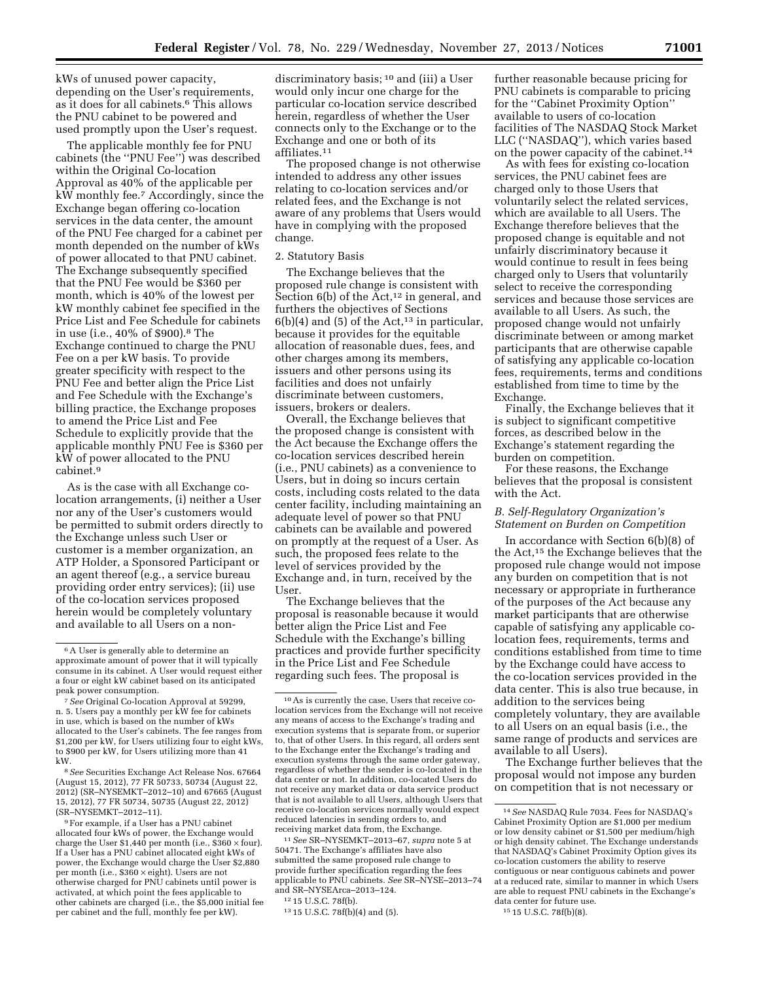kWs of unused power capacity, depending on the User's requirements, as it does for all cabinets.<sup>6</sup> This allows the PNU cabinet to be powered and used promptly upon the User's request.

The applicable monthly fee for PNU cabinets (the ''PNU Fee'') was described within the Original Co-location Approval as 40% of the applicable per kW monthly fee.7 Accordingly, since the Exchange began offering co-location services in the data center, the amount of the PNU Fee charged for a cabinet per month depended on the number of kWs of power allocated to that PNU cabinet. The Exchange subsequently specified that the PNU Fee would be \$360 per month, which is 40% of the lowest per kW monthly cabinet fee specified in the Price List and Fee Schedule for cabinets in use (i.e., 40% of \$900).8 The Exchange continued to charge the PNU Fee on a per kW basis. To provide greater specificity with respect to the PNU Fee and better align the Price List and Fee Schedule with the Exchange's billing practice, the Exchange proposes to amend the Price List and Fee Schedule to explicitly provide that the applicable monthly PNU Fee is \$360 per kW of power allocated to the PNU cabinet.9

As is the case with all Exchange colocation arrangements, (i) neither a User nor any of the User's customers would be permitted to submit orders directly to the Exchange unless such User or customer is a member organization, an ATP Holder, a Sponsored Participant or an agent thereof (e.g., a service bureau providing order entry services); (ii) use of the co-location services proposed herein would be completely voluntary and available to all Users on a non-

9For example, if a User has a PNU cabinet allocated four kWs of power, the Exchange would charge the User  $$1,440$  per month (i.e.,  $$360 \times$  four). If a User has a PNU cabinet allocated eight kWs of power, the Exchange would charge the User \$2,880 per month (i.e., \$360 × eight). Users are not otherwise charged for PNU cabinets until power is activated, at which point the fees applicable to other cabinets are charged (i.e., the \$5,000 initial fee per cabinet and the full, monthly fee per kW).

discriminatory basis; 10 and (iii) a User would only incur one charge for the particular co-location service described herein, regardless of whether the User connects only to the Exchange or to the Exchange and one or both of its affiliates.11

The proposed change is not otherwise intended to address any other issues relating to co-location services and/or related fees, and the Exchange is not aware of any problems that Users would have in complying with the proposed change.

### 2. Statutory Basis

The Exchange believes that the proposed rule change is consistent with Section  $6(b)$  of the Act,<sup>12</sup> in general, and furthers the objectives of Sections  $6(b)(4)$  and  $(5)$  of the Act,<sup>13</sup> in particular, because it provides for the equitable allocation of reasonable dues, fees, and other charges among its members, issuers and other persons using its facilities and does not unfairly discriminate between customers, issuers, brokers or dealers.

Overall, the Exchange believes that the proposed change is consistent with the Act because the Exchange offers the co-location services described herein (i.e., PNU cabinets) as a convenience to Users, but in doing so incurs certain costs, including costs related to the data center facility, including maintaining an adequate level of power so that PNU cabinets can be available and powered on promptly at the request of a User. As such, the proposed fees relate to the level of services provided by the Exchange and, in turn, received by the User.

The Exchange believes that the proposal is reasonable because it would better align the Price List and Fee Schedule with the Exchange's billing practices and provide further specificity in the Price List and Fee Schedule regarding such fees. The proposal is

11*See* SR–NYSEMKT–2013–67, *supra* note 5 at 50471. The Exchange's affiliates have also submitted the same proposed rule change to provide further specification regarding the fees applicable to PNU cabinets. *See* SR–NYSE–2013–74 and SR–NYSEArca–2013–124.

further reasonable because pricing for PNU cabinets is comparable to pricing for the ''Cabinet Proximity Option'' available to users of co-location facilities of The NASDAQ Stock Market LLC (''NASDAQ''), which varies based on the power capacity of the cabinet.14

As with fees for existing co-location services, the PNU cabinet fees are charged only to those Users that voluntarily select the related services, which are available to all Users. The Exchange therefore believes that the proposed change is equitable and not unfairly discriminatory because it would continue to result in fees being charged only to Users that voluntarily select to receive the corresponding services and because those services are available to all Users. As such, the proposed change would not unfairly discriminate between or among market participants that are otherwise capable of satisfying any applicable co-location fees, requirements, terms and conditions established from time to time by the Exchange.

Finally, the Exchange believes that it is subject to significant competitive forces, as described below in the Exchange's statement regarding the burden on competition.

For these reasons, the Exchange believes that the proposal is consistent with the Act.

#### *B. Self-Regulatory Organization's Statement on Burden on Competition*

In accordance with Section 6(b)(8) of the Act,15 the Exchange believes that the proposed rule change would not impose any burden on competition that is not necessary or appropriate in furtherance of the purposes of the Act because any market participants that are otherwise capable of satisfying any applicable colocation fees, requirements, terms and conditions established from time to time by the Exchange could have access to the co-location services provided in the data center. This is also true because, in addition to the services being completely voluntary, they are available to all Users on an equal basis (i.e., the same range of products and services are available to all Users).

The Exchange further believes that the proposal would not impose any burden on competition that is not necessary or

<sup>6</sup>A User is generally able to determine an approximate amount of power that it will typically consume in its cabinet. A User would request either a four or eight kW cabinet based on its anticipated peak power consumption.

<sup>7</sup>*See* Original Co-location Approval at 59299, n. 5. Users pay a monthly per kW fee for cabinets in use, which is based on the number of kWs allocated to the User's cabinets. The fee ranges from \$1,200 per kW, for Users utilizing four to eight kWs, to \$900 per kW, for Users utilizing more than 41 kW.

<sup>8</sup>*See* Securities Exchange Act Release Nos. 67664 (August 15, 2012), 77 FR 50733, 50734 (August 22, 2012) (SR–NYSEMKT–2012–10) and 67665 (August 15, 2012), 77 FR 50734, 50735 (August 22, 2012) (SR–NYSEMKT–2012–11).

<sup>10</sup>As is currently the case, Users that receive colocation services from the Exchange will not receive any means of access to the Exchange's trading and execution systems that is separate from, or superior to, that of other Users. In this regard, all orders sent to the Exchange enter the Exchange's trading and execution systems through the same order gateway, regardless of whether the sender is co-located in the data center or not. In addition, co-located Users do not receive any market data or data service product that is not available to all Users, although Users that receive co-location services normally would expect reduced latencies in sending orders to, and receiving market data from, the Exchange.

<sup>12</sup> 15 U.S.C. 78f(b).

<sup>13</sup> 15 U.S.C. 78f(b)(4) and (5).

<sup>14</sup>*See* NASDAQ Rule 7034. Fees for NASDAQ's Cabinet Proximity Option are \$1,000 per medium or low density cabinet or \$1,500 per medium/high or high density cabinet. The Exchange understands that NASDAQ's Cabinet Proximity Option gives its co-location customers the ability to reserve contiguous or near contiguous cabinets and power at a reduced rate, similar to manner in which Users are able to request PNU cabinets in the Exchange's data center for future use.

<sup>15</sup> 15 U.S.C. 78f(b)(8).